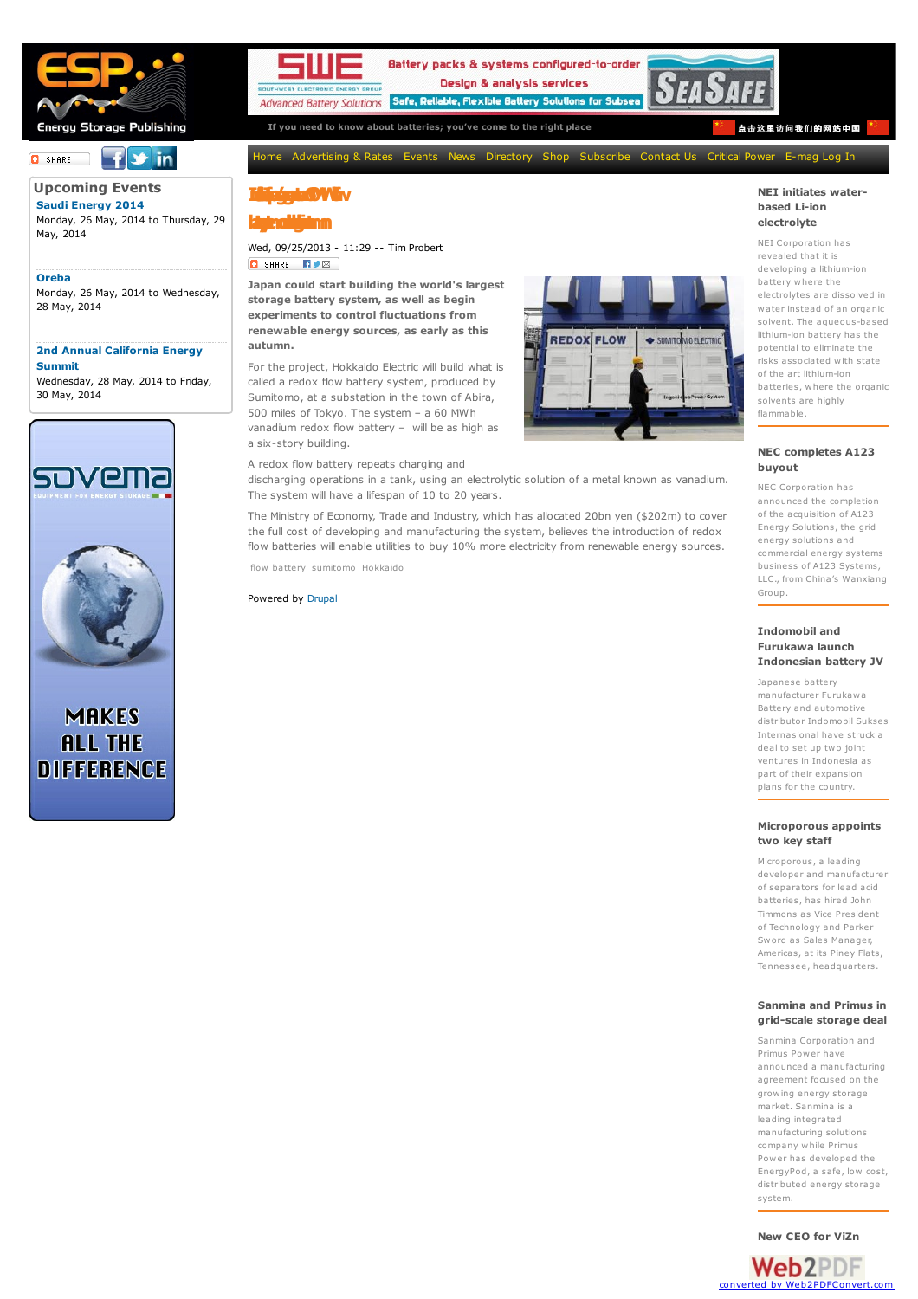

#### $f$   $\vee$  in **O** SHARE  $\Box$

**[Upcoming](http://www.bestmag.co.uk/events) Events Saudi [Energy](http://bestmag.co.uk/event/saudi-energy-2014) 2014** Monday, 26 May, 2014 to Thursday, 29 May, 2014

28 May, 2014

**Summit** Wednesday, 28 May, 2014 to Friday,



**MAKES ALL THE DIFFERENCE** 

**[Oreba](http://bestmag.co.uk/event/oreba)** Monday, 26 May, 2014 to Wednesday,

**2nd Annual [California](http://bestmag.co.uk/event/2nd-annual-california-energy-summit) Energy**

30 May, 2014



Battery packs & systems configured-to-order Design & analysis services Advanced Battery Solutions Safe, Reliable, Flexible Battery Solutions for Subs



**If you need to know about batteries; you've come to the right place** 点击这里访问我们[的网站中国](http://www.bestmag.cn.com)

[Home](http://bestmag.co.uk/) [Advertising](http://bestmag.co.uk/advertising-rates) & Rates [Events](http://bestmag.co.uk/events) [News](http://bestmag.co.uk/industry-news) [Directory](http://www.bestmag.co.uk/company/search) [Shop](http://bestmag.co.uk/shop/shop-online.html) [Subscribe](http://bestmag.co.uk/shop/subscriptions.html) [Contact](http://bestmag.co.uk/contact-us) Us [Critical](http://bestmag.co.uk/criticalpower) Power [E-mag](http://bestmag.co.uk/shop/customer/account/login/) Log In

# **Institute**

**baetryssetmcoudblegnhitsaiutmn**

Wed, 09/25/2013 - 11:29 -- Tim Probert **O** SHARE **EVE** 

**Japan could start building the world's largest storage battery system, as well as begin experiments to control fluctuations from renewable energy sources, as early as this autumn.**

For the project, Hokkaido Electric will build what is called a redox flow battery system, produced by Sumitomo, at a substation in the town of Abira, 500 miles of Tokyo. The system – a 60 MWh vanadium redox flow battery – will be as high as a six-story building.



A redox flow battery repeats charging and discharging operations in a tank, using an electrolytic solution of a metal known as vanadium. The system will have a lifespan of 10 to 20 years.

The Ministry of Economy, Trade and Industry, which has allocated 20bn yen (\$202m) to cover the full cost of developing and manufacturing the system, believes the introduction of redox flow batteries will enable utilities to buy 10% more electricity from renewable energy sources.

flow [battery](http://bestmag.co.uk/tags/flow-battery) [sumitomo](http://bestmag.co.uk/tags/sumitomo) [Hokkaido](http://bestmag.co.uk/tags/hokkaido)

Powered by [Drupal](http://drupal.org)

# lithium-ion battery has the potential to eliminate the risks associated with state of the art lithium-ion batteries, where the organic solvents are highly flammable. **NEC [completes](http://bestmag.co.uk/industry-news/nec-completes-a123-buyout) A123**

Group.

**NEI initiates waterbased Li-ion [electrolyte](http://bestmag.co.uk/industry-news/nei-initiates-water-based-li-ion-electrolyte)** NEI Corporation has revealed that it is developing a lithium-ion battery where the electrolytes are dissolved in water instead of an organic solvent. The aqueous-based

**buyout** NEC Corporation has announced the completion of the acquisition of A123 Energy Solutions, the grid energy solutions and commercial energy systems business of A123 Systems, LLC., from China's Wanxiang

# **[Indomobil](http://bestmag.co.uk/industry-news/indomobil-and-furukawa-launch-indonesian-battery-jv) and Furukawa launch Indonesian battery JV**

Japanese battery manufacturer Furukawa Battery and automotive distributor Indomobil Sukses Internasional have struck a deal to set up two joint ventures in Indonesia as part of their expansion plans for the country.

# **[Microporous](http://bestmag.co.uk/industry-news/microporous-appoints-two-key-staff) appoints two key staff**

Microporous, a leading developer and manufacturer of separators for lead acid batteries, has hired John Timmons as Vice President of Technology and Parker Sword as Sales Manager, Americas, at its Piney Flats, Tennessee, headquarters.

### **[Sanmina](http://bestmag.co.uk/industry-news/sanmina-and-primus-grid-scale-storage-deal) and Primus in grid-scale storage deal**

Sanmina Corporation and Primus Power have announced a manufacturing agreement focused on the growing energy storage market. Sanmina is a leading integrated manufacturing solutions company while Primus Power has developed the EnergyPod, a safe, low cost, distributed energy storage system.

**[New](http://bestmag.co.uk/industry-news/new-ceo-vizn-energy-systems) CEO for ViZn**